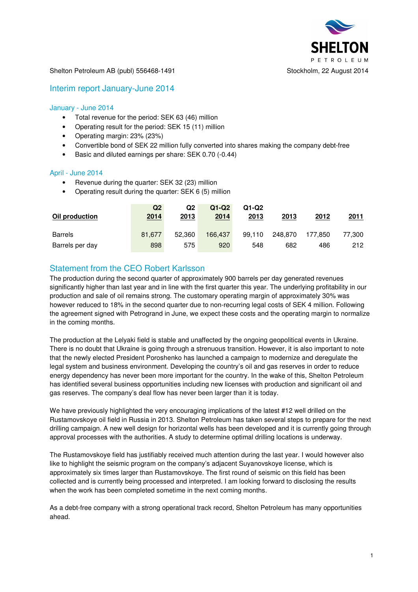

#### Shelton Petroleum AB (publ) 556468-1491 Stockholm, 22 August 2014

### Interim report January-June 2014

### January - June 2014

- Total revenue for the period: SEK 63 (46) million
- Operating result for the period: SEK 15 (11) million
- Operating margin: 23% (23%)
- Convertible bond of SEK 22 million fully converted into shares making the company debt-free
- Basic and diluted earnings per share: SEK 0.70 (-0.44)

#### April - June 2014

- Revenue during the quarter: SEK 32 (23) million
- Operating result during the quarter: SEK 6 (5) million

| Oil production  | Q2<br><u>2014</u> | Q2<br><u> 2013</u> | $Q1-Q2$<br>2014 | $Q1-Q2$<br>2013 | 2013    | 2012    | 2011   |
|-----------------|-------------------|--------------------|-----------------|-----------------|---------|---------|--------|
| <b>Barrels</b>  | 81.677            | 52,360             | 166.437         | 99.110          | 248.870 | 177.850 | 77,300 |
| Barrels per day | 898               | 575                | 920             | 548             | 682     | 486     | 212    |

# Statement from the CEO Robert Karlsson

The production during the second quarter of approximately 900 barrels per day generated revenues significantly higher than last year and in line with the first quarter this year. The underlying profitability in our production and sale of oil remains strong. The customary operating margin of approximately 30% was however reduced to 18% in the second quarter due to non-recurring legal costs of SEK 4 million. Following the agreement signed with Petrogrand in June, we expect these costs and the operating margin to normalize in the coming months.

The production at the Lelyaki field is stable and unaffected by the ongoing geopolitical events in Ukraine. There is no doubt that Ukraine is going through a strenuous transition. However, it is also important to note that the newly elected President Poroshenko has launched a campaign to modernize and deregulate the legal system and business environment. Developing the country's oil and gas reserves in order to reduce energy dependency has never been more important for the country. In the wake of this, Shelton Petroleum has identified several business opportunities including new licenses with production and significant oil and gas reserves. The company's deal flow has never been larger than it is today.

We have previously highlighted the very encouraging implications of the latest #12 well drilled on the Rustamovskoye oil field in Russia in 2013. Shelton Petroleum has taken several steps to prepare for the next drilling campaign. A new well design for horizontal wells has been developed and it is currently going through approval processes with the authorities. A study to determine optimal drilling locations is underway.

The Rustamovskoye field has justifiably received much attention during the last year. I would however also like to highlight the seismic program on the company's adjacent Suyanovskoye license, which is approximately six times larger than Rustamovskoye. The first round of seismic on this field has been collected and is currently being processed and interpreted. I am looking forward to disclosing the results when the work has been completed sometime in the next coming months.

As a debt-free company with a strong operational track record, Shelton Petroleum has many opportunities ahead.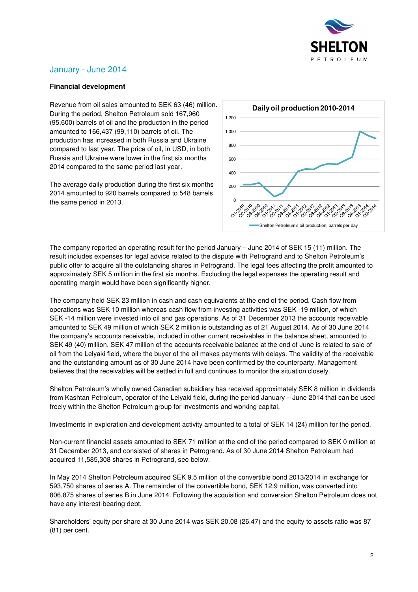

# January - June 2014

### **Financial development**

Revenue from oil sales amounted to SEK 63 (46) million. During the period, Shelton Petroleum sold 167,960 (95,600) barrels of oil and the production in the period amounted to 166,437 (99,110) barrels of oil. The production has increased in both Russia and Ukraine compared to last year. The price of oil, in USD, in both Russia and Ukraine were lower in the first six months 2014 compared to the same period last year.

The average daily production during the first six months 2014 amounted to 920 barrels compared to 548 barrels the same period in 2013.



The company reported an operating result for the period January – June 2014 of SEK 15 (11) million. The result includes expenses for legal advice related to the dispute with Petrogrand and to Shelton Petroleum's public offer to acquire all the outstanding shares in Petrogrand. The legal fees affecting the profit amounted to approximately SEK 5 million in the first six months. Excluding the legal expenses the operating result and operating margin would have been significantly higher.

The company held SEK 23 million in cash and cash equivalents at the end of the period. Cash flow from operations was SEK 10 million whereas cash flow from investing activities was SEK -19 million, of which SEK -14 million were invested into oil and gas operations. As of 31 December 2013 the accounts receivable amounted to SEK 49 million of which SEK 2 million is outstanding as of 21 August 2014. As of 30 June 2014 the company's accounts receivable, included in other current receivables in the balance sheet, amounted to SEK 49 (40) million. SEK 47 million of the accounts receivable balance at the end of June is related to sale of oil from the Lelyaki field, where the buyer of the oil makes payments with delays. The validity of the receivable and the outstanding amount as of 30 June 2014 have been confirmed by the counterparty. Management believes that the receivables will be settled in full and continues to monitor the situation closely.

Shelton Petroleum's wholly owned Canadian subsidiary has received approximately SEK 8 million in dividends from Kashtan Petroleum, operator of the Lelyaki field, during the period January – June 2014 that can be used freely within the Shelton Petroleum group for investments and working capital.

Investments in exploration and development activity amounted to a total of SEK 14 (24) million for the period.

Non-current financial assets amounted to SEK 71 million at the end of the period compared to SEK 0 million at 31 December 2013, and consisted of shares in Petrogrand. As of 30 June 2014 Shelton Petroleum had acquired 11,585,308 shares in Petrogrand, see below.

In May 2014 Shelton Petroleum acquired SEK 9.5 million of the convertible bond 2013/2014 in exchange for 593,750 shares of series A. The remainder of the convertible bond, SEK 12.9 million, was converted into 806,875 shares of series B in June 2014. Following the acquisition and conversion Shelton Petroleum does not have any interest-bearing debt.

Shareholders' equity per share at 30 June 2014 was SEK 20.08 (26.47) and the equity to assets ratio was 87 (81) per cent.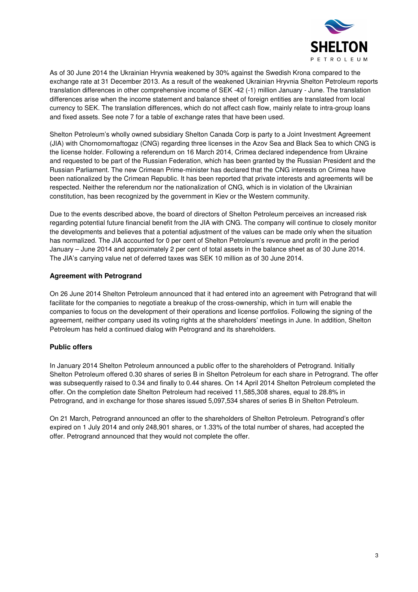

As of 30 June 2014 the Ukrainian Hryvnia weakened by 30% against the Swedish Krona compared to the exchange rate at 31 December 2013. As a result of the weakened Ukrainian Hryvnia Shelton Petroleum reports translation differences in other comprehensive income of SEK -42 (-1) million January - June. The translation differences arise when the income statement and balance sheet of foreign entities are translated from local currency to SEK. The translation differences, which do not affect cash flow, mainly relate to intra-group loans and fixed assets. See note 7 for a table of exchange rates that have been used.

Shelton Petroleum's wholly owned subsidiary Shelton Canada Corp is party to a Joint Investment Agreement (JIA) with Chornomornaftogaz (CNG) regarding three licenses in the Azov Sea and Black Sea to which CNG is the license holder. Following a referendum on 16 March 2014, Crimea declared independence from Ukraine and requested to be part of the Russian Federation, which has been granted by the Russian President and the Russian Parliament. The new Crimean Prime-minister has declared that the CNG interests on Crimea have been nationalized by the Crimean Republic. It has been reported that private interests and agreements will be respected. Neither the referendum nor the nationalization of CNG, which is in violation of the Ukrainian constitution, has been recognized by the government in Kiev or the Western community.

Due to the events described above, the board of directors of Shelton Petroleum perceives an increased risk regarding potential future financial benefit from the JIA with CNG. The company will continue to closely monitor the developments and believes that a potential adjustment of the values can be made only when the situation has normalized. The JIA accounted for 0 per cent of Shelton Petroleum's revenue and profit in the period January – June 2014 and approximately 2 per cent of total assets in the balance sheet as of 30 June 2014. The JIA's carrying value net of deferred taxes was SEK 10 million as of 30 June 2014.

### **Agreement with Petrogrand**

On 26 June 2014 Shelton Petroleum announced that it had entered into an agreement with Petrogrand that will facilitate for the companies to negotiate a breakup of the cross-ownership, which in turn will enable the companies to focus on the development of their operations and license portfolios. Following the signing of the agreement, neither company used its voting rights at the shareholders' meetings in June. In addition, Shelton Petroleum has held a continued dialog with Petrogrand and its shareholders.

### **Public offers**

In January 2014 Shelton Petroleum announced a public offer to the shareholders of Petrogrand. Initially Shelton Petroleum offered 0.30 shares of series B in Shelton Petroleum for each share in Petrogrand. The offer was subsequently raised to 0.34 and finally to 0.44 shares. On 14 April 2014 Shelton Petroleum completed the offer. On the completion date Shelton Petroleum had received 11,585,308 shares, equal to 28.8% in Petrogrand, and in exchange for those shares issued 5,097,534 shares of series B in Shelton Petroleum.

On 21 March, Petrogrand announced an offer to the shareholders of Shelton Petroleum. Petrogrand's offer expired on 1 July 2014 and only 248,901 shares, or 1.33% of the total number of shares, had accepted the offer. Petrogrand announced that they would not complete the offer.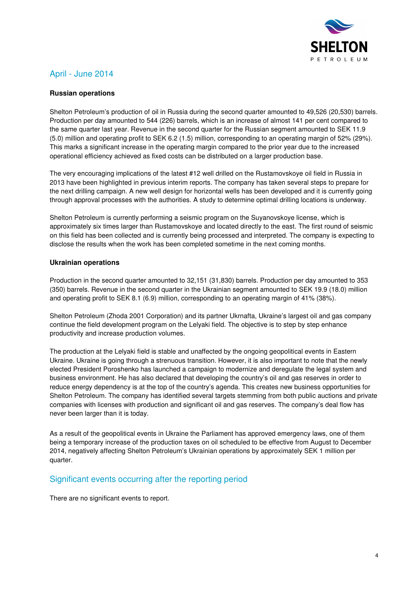

# April - June 2014

### **Russian operations**

Shelton Petroleum's production of oil in Russia during the second quarter amounted to 49,526 (20,530) barrels. Production per day amounted to 544 (226) barrels, which is an increase of almost 141 per cent compared to the same quarter last year. Revenue in the second quarter for the Russian segment amounted to SEK 11.9 (5.0) million and operating profit to SEK 6.2 (1.5) million, corresponding to an operating margin of 52% (29%). This marks a significant increase in the operating margin compared to the prior year due to the increased operational efficiency achieved as fixed costs can be distributed on a larger production base.

The very encouraging implications of the latest #12 well drilled on the Rustamovskoye oil field in Russia in 2013 have been highlighted in previous interim reports. The company has taken several steps to prepare for the next drilling campaign. A new well design for horizontal wells has been developed and it is currently going through approval processes with the authorities. A study to determine optimal drilling locations is underway.

Shelton Petroleum is currently performing a seismic program on the Suyanovskoye license, which is approximately six times larger than Rustamovskoye and located directly to the east. The first round of seismic on this field has been collected and is currently being processed and interpreted. The company is expecting to disclose the results when the work has been completed sometime in the next coming months.

### **Ukrainian operations**

Production in the second quarter amounted to 32,151 (31,830) barrels. Production per day amounted to 353 (350) barrels. Revenue in the second quarter in the Ukrainian segment amounted to SEK 19.9 (18.0) million and operating profit to SEK 8.1 (6.9) million, corresponding to an operating margin of 41% (38%).

Shelton Petroleum (Zhoda 2001 Corporation) and its partner Ukrnafta, Ukraine's largest oil and gas company continue the field development program on the Lelyaki field. The objective is to step by step enhance productivity and increase production volumes.

The production at the Lelyaki field is stable and unaffected by the ongoing geopolitical events in Eastern Ukraine. Ukraine is going through a strenuous transition. However, it is also important to note that the newly elected President Poroshenko has launched a campaign to modernize and deregulate the legal system and business environment. He has also declared that developing the country's oil and gas reserves in order to reduce energy dependency is at the top of the country's agenda. This creates new business opportunities for Shelton Petroleum. The company has identified several targets stemming from both public auctions and private companies with licenses with production and significant oil and gas reserves. The company's deal flow has never been larger than it is today.

As a result of the geopolitical events in Ukraine the Parliament has approved emergency laws, one of them being a temporary increase of the production taxes on oil scheduled to be effective from August to December 2014, negatively affecting Shelton Petroleum's Ukrainian operations by approximately SEK 1 million per quarter.

## Significant events occurring after the reporting period

There are no significant events to report.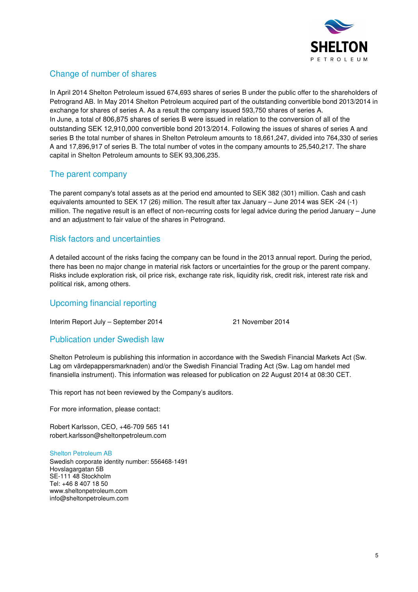

# Change of number of shares

In April 2014 Shelton Petroleum issued 674,693 shares of series B under the public offer to the shareholders of Petrogrand AB. In May 2014 Shelton Petroleum acquired part of the outstanding convertible bond 2013/2014 in exchange for shares of series A. As a result the company issued 593,750 shares of series A. In June, a total of 806,875 shares of series B were issued in relation to the conversion of all of the outstanding SEK 12,910,000 convertible bond 2013/2014. Following the issues of shares of series A and series B the total number of shares in Shelton Petroleum amounts to 18,661,247, divided into 764,330 of series A and 17,896,917 of series B. The total number of votes in the company amounts to 25,540,217. The share capital in Shelton Petroleum amounts to SEK 93,306,235.

## The parent company

The parent company's total assets as at the period end amounted to SEK 382 (301) million. Cash and cash equivalents amounted to SEK 17 (26) million. The result after tax January – June 2014 was SEK -24 (-1) million. The negative result is an effect of non-recurring costs for legal advice during the period January – June and an adjustment to fair value of the shares in Petrogrand.

## Risk factors and uncertainties

A detailed account of the risks facing the company can be found in the 2013 annual report. During the period, there has been no major change in material risk factors or uncertainties for the group or the parent company. Risks include exploration risk, oil price risk, exchange rate risk, liquidity risk, credit risk, interest rate risk and political risk, among others.

## Upcoming financial reporting

Interim Report July – September 2014 21 November 2014

### Publication under Swedish law

Shelton Petroleum is publishing this information in accordance with the Swedish Financial Markets Act (Sw. Lag om värdepappersmarknaden) and/or the Swedish Financial Trading Act (Sw. Lag om handel med finansiella instrument). This information was released for publication on 22 August 2014 at 08:30 CET.

This report has not been reviewed by the Company's auditors.

For more information, please contact:

Robert Karlsson, CEO, +46-709 565 141 robert.karlsson@sheltonpetroleum.com

### Shelton Petroleum AB

Swedish corporate identity number: 556468-1491 Hovslagargatan 5B SE-111 48 Stockholm Tel: +46 8 407 18 50 www.sheltonpetroleum.com info@sheltonpetroleum.com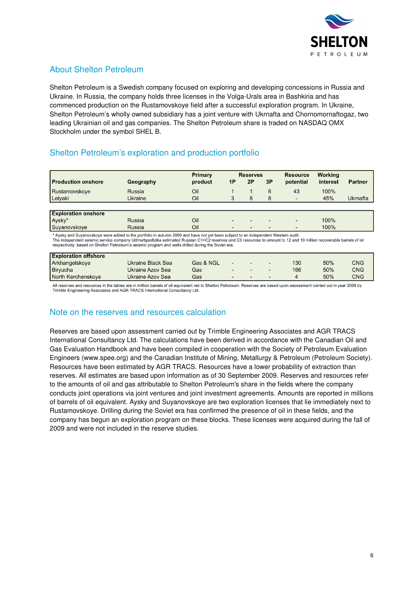

# About Shelton Petroleum

Shelton Petroleum is a Swedish company focused on exploring and developing concessions in Russia and Ukraine. In Russia, the company holds three licenses in the Volga-Urals area in Bashkiria and has commenced production on the Rustamovskoye field after a successful exploration program. In Ukraine, Shelton Petroleum's wholly owned subsidiary has a joint venture with Ukrnafta and Chornomornaftogaz, two leading Ukrainian oil and gas companies. The Shelton Petroleum share is traded on NASDAQ OMX Stockholm under the symbol SHEL B.

# Shelton Petroleum's exploration and production portfolio

|                            |           | Primary |                          | <b>Reserves</b>          |                          | <b>Resource</b>          | <b>Working</b> |                |
|----------------------------|-----------|---------|--------------------------|--------------------------|--------------------------|--------------------------|----------------|----------------|
| l Production onshore       | Geography | product | 1P                       | 2P                       | 3P                       | potential                | interest       | <b>Partner</b> |
| Rustamovskoye              | Russia    | Oil     |                          |                          | 6                        | 43                       | 100%           |                |
| Lelyaki                    | Ukraine   | Oil     | 3                        | 8                        | 8                        | $\overline{a}$           | 45%            | Ukrnafta       |
|                            |           |         |                          |                          |                          |                          |                |                |
| <b>Exploration onshore</b> |           |         |                          |                          |                          |                          |                |                |
| Aysky*                     | Russia    | Oil     | $\overline{\phantom{0}}$ | $\overline{\phantom{a}}$ |                          | $\overline{\phantom{a}}$ | 100%           |                |
| Suyanovskoye               | Russia    | Oil     | $\overline{\phantom{a}}$ | $\overline{\phantom{0}}$ | $\overline{\phantom{a}}$ | $\overline{\phantom{0}}$ | 100%           |                |

Aysky and Suyanovskoye were added to the portfolio in autumn 2009 and have not yet been subject to an independent Western audit.

The independent seismic service company Udmurtgeofizika estimated Russian C1+C2 reserves and C3 resources to amount to 12 and 10 million recoverable barrels of oil<br>respectively, based on Shelton Petroleum's seismic program

| <b>Exploration offshore</b> |                   |           |                          |              |                          |     |     |            |
|-----------------------------|-------------------|-----------|--------------------------|--------------|--------------------------|-----|-----|------------|
| Arkhangelskoye              | Ukraine Black Sea | Gas & NGL | $\overline{\phantom{0}}$ | $\sim$       | $\overline{\phantom{a}}$ | 130 | 50% | CNG        |
| Biryucha                    | Ukraine Azov Sea  | Gas       |                          | $\sim$       | $\overline{\phantom{a}}$ | 166 | 50% | <b>CNG</b> |
| North Kerchenskove          | Ukraine Azov Sea  | Gas       |                          | <b>COLUM</b> | $\sim$                   |     | 50% | <b>CNG</b> |

All reserves and resources in the tables are in million barrels of oil equivalent net to Shelton Petroleum. Reserves are based upon assessment carried out in year 2009 by Trimble Engineering Associates and AGR TRACS International Consultancy Ltd

## Note on the reserves and resources calculation

Reserves are based upon assessment carried out by Trimble Engineering Associates and AGR TRACS International Consultancy Ltd. The calculations have been derived in accordance with the Canadian Oil and Gas Evaluation Handbook and have been compiled in cooperation with the Society of Petroleum Evaluation Engineers (www.spee.org) and the Canadian Institute of Mining, Metallurgy & Petroleum (Petroleum Society). Resources have been estimated by AGR TRACS. Resources have a lower probability of extraction than reserves. All estimates are based upon information as of 30 September 2009. Reserves and resources refer to the amounts of oil and gas attributable to Shelton Petroleum's share in the fields where the company conducts joint operations via joint ventures and joint investment agreements. Amounts are reported in millions of barrels of oil equivalent. Aysky and Suyanovskoye are two exploration licenses that lie immediately next to Rustamovskoye. Drilling during the Soviet era has confirmed the presence of oil in these fields, and the company has begun an exploration program on these blocks. These licenses were acquired during the fall of 2009 and were not included in the reserve studies.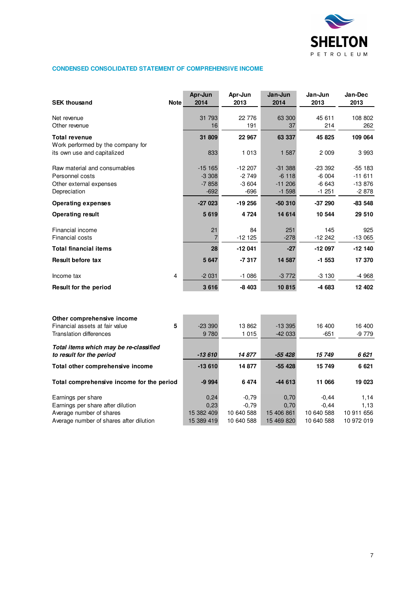

### **CONDENSED CONSOLIDATED STATEMENT OF COMPREHENSIVE INCOME**

| <b>SEK thousand</b>                                       | <b>Note</b> | Apr-Jun<br>2014 | Apr-Jun<br>2013 | Jan-Jun<br>2014 | Jan-Jun<br>2013 | Jan-Dec<br>2013 |
|-----------------------------------------------------------|-------------|-----------------|-----------------|-----------------|-----------------|-----------------|
| Net revenue<br>Other revenue                              |             | 31 793<br>16    | 22 776<br>191   | 63 300<br>37    | 45 611<br>214   | 108 802<br>262  |
| <b>Total revenue</b><br>Work performed by the company for |             | 31 809          | 22 967          | 63 337          | 45 825          | 109 064         |
| its own use and capitalized                               |             | 833             | 1 0 1 3         | 1 587           | 2 0 0 9         | 3993            |
| Raw material and consumables                              |             | $-15165$        | $-12207$        | $-31.388$       | $-23332$        | $-55$ 183       |
| Personnel costs                                           |             | $-3308$         | $-2749$         | $-6118$         | $-6004$         | $-11611$        |
| Other external expenses                                   |             | $-7858$         | $-3604$         | $-11206$        | $-6643$         | $-13876$        |
| Depreciation                                              |             | $-692$          | $-696$          | $-1598$         | $-1251$         | $-2878$         |
| <b>Operating expenses</b>                                 |             | $-27023$        | $-19256$        | $-50310$        | $-37290$        | $-83548$        |
| <b>Operating result</b>                                   |             | 5619            | 4 7 2 4         | 14 614          | 10 544          | 29 510          |
| Financial income                                          |             | 21              | 84              | 251             | 145             | 925             |
| <b>Financial costs</b>                                    |             | 7               | $-12125$        | $-278$          | $-12242$        | $-13065$        |
| <b>Total financial items</b>                              |             | 28              | $-12041$        | $-27$           | $-12097$        | $-12140$        |
| Result before tax                                         |             | 5 6 4 7         | $-7317$         | 14 587          | $-1553$         | 17 370          |
| Income tax                                                | 4           | $-2031$         | $-1086$         | $-3772$         | $-3130$         | -4 968          |
| Result for the period                                     |             | 3616            | $-8403$         | 10815           | -4 683          | 12 402          |

| Other comprehensive income                |            |            |            |            |            |
|-------------------------------------------|------------|------------|------------|------------|------------|
| Financial assets at fair value<br>5       | $-23.390$  | 13 862     | $-13.395$  | 16 400     | 16 400     |
| Translation differences                   | 9 7 8 0    | 1 0 1 5    | $-42033$   | $-651$     | $-9779$    |
| Total items which may be re-classified    |            |            |            |            |            |
| to result for the period                  | $-13610$   | 14877      | $-55428$   | 15 749     | 6 6 21     |
| Total other comprehensive income          | $-13610$   | 14877      | $-55428$   | 15 749     | 6 6 21     |
| Total comprehensive income for the period | $-9994$    | 6474       | $-44613$   | 11 066     | 19 023     |
| Earnings per share                        | 0.24       | $-0.79$    | 0.70       | $-0.44$    | 1.14       |
| Earnings per share after dilution         | 0.23       | $-0.79$    | 0.70       | $-0.44$    | 1,13       |
| Average number of shares                  | 15 382 409 | 10 640 588 | 15 406 861 | 10 640 588 | 10 911 656 |
| Average number of shares after dilution   | 15 389 419 | 10 640 588 | 15 469 820 | 10 640 588 | 10 972 019 |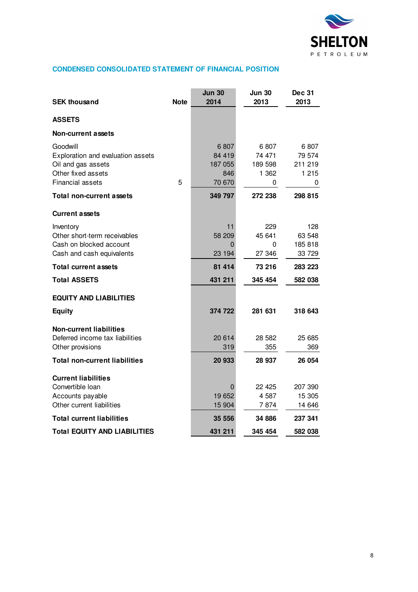

### **CONDENSED CONSOLIDATED STATEMENT OF FINANCIAL POSITION**

| <b>SEK thousand</b>                                                                                                           | <b>Note</b> | <b>Jun 30</b><br>2014                      | <b>Jun 30</b><br>2013                   | <b>Dec 31</b><br>2013                     |
|-------------------------------------------------------------------------------------------------------------------------------|-------------|--------------------------------------------|-----------------------------------------|-------------------------------------------|
| <b>ASSETS</b>                                                                                                                 |             |                                            |                                         |                                           |
| Non-current assets                                                                                                            |             |                                            |                                         |                                           |
| Goodwill<br>Exploration and evaluation assets<br>Oil and gas assets<br>Other fixed assets<br><b>Financial assets</b>          | 5           | 6807<br>84 419<br>187 055<br>846<br>70 670 | 6807<br>74 471<br>189 598<br>1 362<br>0 | 6807<br>79 574<br>211 219<br>1 2 1 5<br>0 |
| Total non-current assets                                                                                                      |             | 349 797                                    | 272 238                                 | 298 815                                   |
| <b>Current assets</b>                                                                                                         |             |                                            |                                         |                                           |
| Inventory<br>Other short-term receivables<br>Cash on blocked account<br>Cash and cash equivalents                             |             | 11<br>58 209<br>0<br>23 194                | 229<br>45 641<br>0<br>27 346            | 128<br>63 548<br>185818<br>33 729         |
| <b>Total current assets</b>                                                                                                   |             | 81 414                                     | 73 216                                  | 283 223                                   |
| <b>Total ASSETS</b>                                                                                                           |             | 431 211                                    | 345 454                                 | 582 038                                   |
| <b>EQUITY AND LIABILITIES</b>                                                                                                 |             |                                            |                                         |                                           |
| <b>Equity</b>                                                                                                                 |             | 374 722                                    | 281 631                                 | 318 643                                   |
| <b>Non-current liabilities</b><br>Deferred income tax liabilities<br>Other provisions<br><b>Total non-current liabilities</b> |             | 20 614<br>319<br>20 933                    | 28 5 82<br>355                          | 25 685<br>369                             |
|                                                                                                                               |             |                                            | 28 937                                  | 26 054                                    |
| <b>Current liabilities</b><br>Convertible loan<br>Accounts payable<br>Other current liabilities                               |             | 0<br>19 652<br>15 904                      | 22 4 25<br>4 587<br>7 874               | 207 390<br>15 305<br>14 646               |
| <b>Total current liabilities</b>                                                                                              |             | 35 556                                     | 34 886                                  | 237 341                                   |
| Total EQUITY AND LIABILITIES                                                                                                  |             | 431 211                                    | 345 454                                 | 582 038                                   |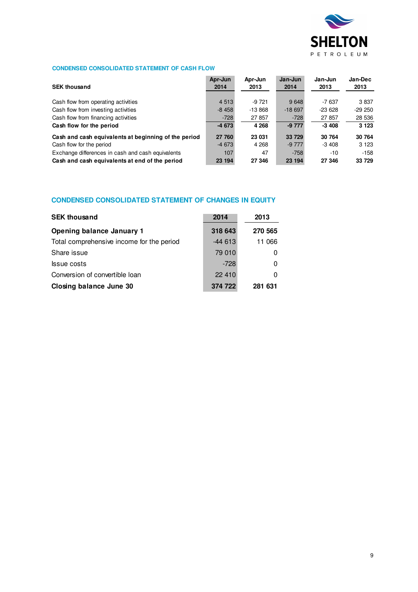

### **CONDENSED CONSOLIDATED STATEMENT OF CASH FLOW**

| <b>SEK thousand</b>                                  | Apr-Jun<br>2014 | Apr-Jun<br>2013 | Jan-Jun<br>2014 | Jan-Jun<br>2013 | Jan-Dec<br>2013 |
|------------------------------------------------------|-----------------|-----------------|-----------------|-----------------|-----------------|
| Cash flow from operating activities                  | 4 5 1 3         | $-9721$         | 9648            | $-7637$         | 3837            |
| Cash flow from investing activities                  | $-8458$         | $-13868$        | $-18697$        | $-23628$        | $-29250$        |
| Cash flow from financing activities                  | $-728$          | 27 857          | $-728$          | 27 857          | 28 536          |
| Cash flow for the period                             | $-4673$         | 4 2 6 8         | $-9777$         | $-3408$         | 3 1 2 3         |
| Cash and cash equivalents at beginning of the period | 27 760          | 23 031          | 33 729          | 30 764          | 30 764          |
| Cash flow for the period                             | $-4673$         | 4 2 6 8         | $-9777$         | $-3408$         | 3 1 2 3         |
| Exchange differences in cash and cash equivalents    | 107             | 47              | $-758$          | $-10$           | $-158$          |
| Cash and cash equivalents at end of the period       | 23 194          | 27 346          | 23 194          | 27 346          | 33 729          |

#### **CONDENSED CONSOLIDATED STATEMENT OF CHANGES IN EQUITY**

| <b>SEK thousand</b>                       | 2014     | 2013    |
|-------------------------------------------|----------|---------|
| <b>Opening balance January 1</b>          | 318 643  | 270 565 |
| Total comprehensive income for the period | $-44613$ | 11 066  |
| Share issue                               | 79 010   | 0       |
| <b>S</b> sue costs                        | $-728$   | 0       |
| Conversion of convertible loan            | 22 410   | O       |
| Closing balance June 30                   | 374 722  | 281 631 |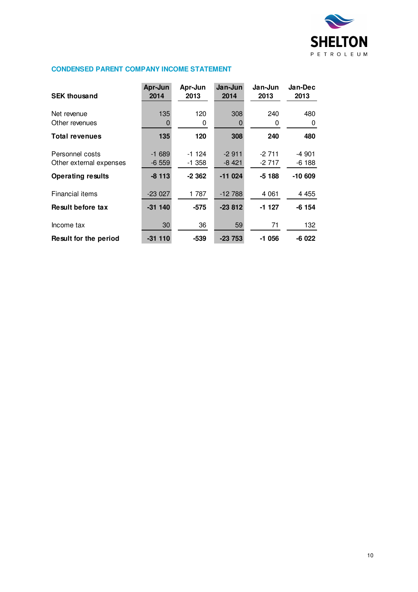

### **CONDENSED PARENT COMPANY INCOME STATEMENT**

| <b>SEK thousand</b>                                                    | Apr-Jun<br>2014               | Apr-Jun<br>2013                | Jan-Jun<br>2014               | Jan-Jun<br>2013               | Jan-Dec<br>2013               |
|------------------------------------------------------------------------|-------------------------------|--------------------------------|-------------------------------|-------------------------------|-------------------------------|
| Net revenue<br>Other revenues                                          | 135<br>0                      | 120<br>0                       | 308                           | 240<br>0                      | 480<br>0                      |
| <b>Total revenues</b>                                                  | 135                           | 120                            | 308                           | 240                           | 480                           |
| Personnel costs<br>Other external expenses<br><b>Operating results</b> | $-1689$<br>$-6559$<br>$-8113$ | $-1124$<br>$-1.358$<br>$-2362$ | $-2911$<br>-8 421<br>$-11024$ | $-2711$<br>$-2717$<br>$-5188$ | -4 901<br>$-6188$<br>$-10609$ |
| Financial items                                                        | $-23027$                      | 1 787                          | $-12788$                      | 4 0 61                        | 4 4 5 5                       |
| <b>Result before tax</b>                                               | $-311140$                     | $-575$                         | $-23812$                      | -1 127                        | $-6154$                       |
| Income tax                                                             | 30                            | 36                             | 59                            | 71                            | 132                           |
| Result for the period                                                  | $-31110$                      | $-539$                         | $-23753$                      | -1 056                        | $-6022$                       |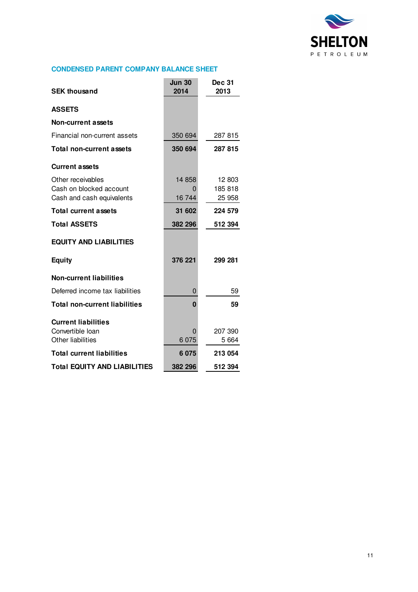

### **CONDENSED PARENT COMPANY BALANCE SHEET**

| <b>SEK thousand</b>                                                       | <b>Jun 30</b><br>2014 | <b>Dec 31</b><br>2013       |
|---------------------------------------------------------------------------|-----------------------|-----------------------------|
| <b>ASSETS</b>                                                             |                       |                             |
| Non-current assets                                                        |                       |                             |
| Financial non-current assets                                              | 350 694               | 287 815                     |
| <b>Total non-current assets</b>                                           | 350 694               | 287 815                     |
| <b>Current assets</b>                                                     |                       |                             |
| Other receivables<br>Cash on blocked account<br>Cash and cash equivalents | 14 858<br>0<br>16 744 | 12 803<br>185 818<br>25 958 |
| <b>Total current assets</b>                                               | 31 602                | 224 579                     |
| <b>Total ASSETS</b>                                                       | 382 296               | 512 394                     |
| <b>EQUITY AND LIABILITIES</b>                                             |                       |                             |
| <b>Equity</b>                                                             | 376 221               | 299 281                     |
| <b>Non-current liabilities</b>                                            |                       |                             |
| Deferred income tax liabilities                                           | 0                     | 59                          |
| <b>Total non-current liabilities</b>                                      | $\bf{0}$              | 59                          |
| <b>Current liabilities</b><br>Convertible Ioan<br>Other liabilities       | 0<br>6 0 7 5          | 207 390<br>5 6 6 4          |
| <b>Total current liabilities</b>                                          | 6075                  | 213 054                     |
| <b>Total EQUITY AND LIABILITIES</b>                                       | 382 296               | 512 394                     |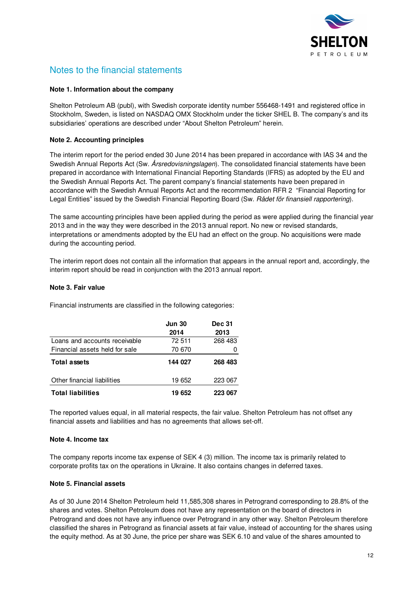

# Notes to the financial statements

#### **Note 1. Information about the company**

Shelton Petroleum AB (publ), with Swedish corporate identity number 556468-1491 and registered office in Stockholm, Sweden, is listed on NASDAQ OMX Stockholm under the ticker SHEL B. The company's and its subsidiaries' operations are described under "About Shelton Petroleum" herein.

### **Note 2. Accounting principles**

The interim report for the period ended 30 June 2014 has been prepared in accordance with IAS 34 and the Swedish Annual Reports Act (Sw. *Årsredovisningslagen*). The consolidated financial statements have been prepared in accordance with International Financial Reporting Standards (IFRS) as adopted by the EU and the Swedish Annual Reports Act. The parent company's financial statements have been prepared in accordance with the Swedish Annual Reports Act and the recommendation RFR 2 "Financial Reporting for Legal Entities" issued by the Swedish Financial Reporting Board (Sw. Rådet för finansiell rapportering).

The same accounting principles have been applied during the period as were applied during the financial year 2013 and in the way they were described in the 2013 annual report. No new or revised standards, interpretations or amendments adopted by the EU had an effect on the group. No acquisitions were made during the accounting period.

The interim report does not contain all the information that appears in the annual report and, accordingly, the interim report should be read in conjunction with the 2013 annual report.

#### **Note 3. Fair value**

Financial instruments are classified in the following categories:

|                                | <b>Jun 30</b><br>2014 | <b>Dec 31</b><br>2013 |
|--------------------------------|-----------------------|-----------------------|
| Loans and accounts receivable  | 72 511                | 268 483               |
| Financial assets held for sale | 70 670                |                       |
| <b>Total assets</b>            | 144 027               | 268 483               |
| Other financial liabilities    | 19 652                | 223 067               |
| <b>Total liabilities</b>       | 19 652                | 223 067               |

The reported values equal, in all material respects, the fair value. Shelton Petroleum has not offset any financial assets and liabilities and has no agreements that allows set-off.

#### **Note 4. Income tax**

The company reports income tax expense of SEK 4 (3) million. The income tax is primarily related to corporate profits tax on the operations in Ukraine. It also contains changes in deferred taxes.

#### **Note 5. Financial assets**

As of 30 June 2014 Shelton Petroleum held 11,585,308 shares in Petrogrand corresponding to 28.8% of the shares and votes. Shelton Petroleum does not have any representation on the board of directors in Petrogrand and does not have any influence over Petrogrand in any other way. Shelton Petroleum therefore classified the shares in Petrogrand as financial assets at fair value, instead of accounting for the shares using the equity method. As at 30 June, the price per share was SEK 6.10 and value of the shares amounted to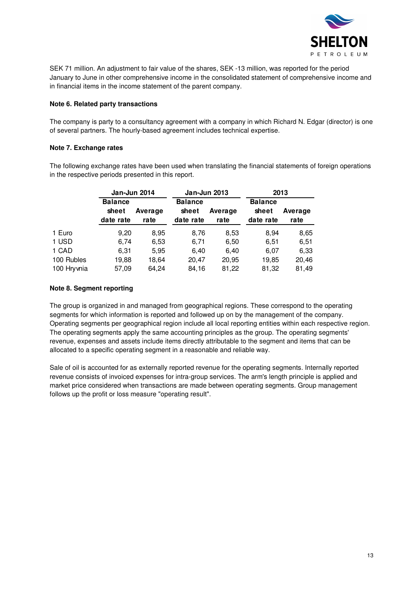

SEK 71 million. An adjustment to fair value of the shares, SEK -13 million, was reported for the period January to June in other comprehensive income in the consolidated statement of comprehensive income and in financial items in the income statement of the parent company.

#### **Note 6. Related party transactions**

The company is party to a consultancy agreement with a company in which Richard N. Edgar (director) is one of several partners. The hourly-based agreement includes technical expertise.

#### **Note 7. Exchange rates**

The following exchange rates have been used when translating the financial statements of foreign operations in the respective periods presented in this report.

|            | Jan-Jun 2014            |         | Jan-Jun 2013            |         |                         | 2013    |
|------------|-------------------------|---------|-------------------------|---------|-------------------------|---------|
|            | <b>Balance</b><br>sheet | Average | <b>Balance</b><br>sheet | Average | <b>Balance</b><br>sheet | Average |
|            | date rate               | rate    | date rate               | rate    | date rate               | rate    |
| 1 Euro     | 9,20                    | 8,95    | 8,76                    | 8,53    | 8.94                    | 8,65    |
| 1 USD      | 6,74                    | 6,53    | 6,71                    | 6,50    | 6,51                    | 6,51    |
| 1 CAD      | 6,31                    | 5,95    | 6,40                    | 6,40    | 6,07                    | 6,33    |
| 100 Rubles | 19,88                   | 18.64   | 20,47                   | 20,95   | 19,85                   | 20,46   |
| 100 Hrywia | 57,09                   | 64,24   | 84,16                   | 81,22   | 81,32                   | 81,49   |

### **Note 8. Segment reporting**

The group is organized in and managed from geographical regions. These correspond to the operating segments for which information is reported and followed up on by the management of the company. Operating segments per geographical region include all local reporting entities within each respective region. The operating segments apply the same accounting principles as the group. The operating segments' revenue, expenses and assets include items directly attributable to the segment and items that can be allocated to a specific operating segment in a reasonable and reliable way.

Sale of oil is accounted for as externally reported revenue for the operating segments. Internally reported revenue consists of invoiced expenses for intra-group services. The arm's length principle is applied and market price considered when transactions are made between operating segments. Group management follows up the profit or loss measure "operating result".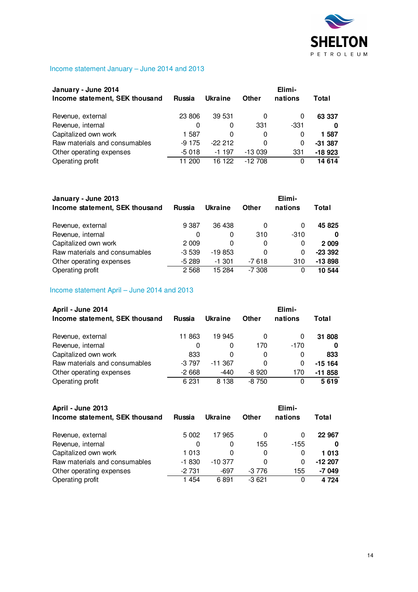

# Income statement January – June 2014 and 2013

| January - June 2014            | Elimi-        |          |            |         |          |
|--------------------------------|---------------|----------|------------|---------|----------|
| Income statement, SEK thousand | <b>Russia</b> | Ukraine  | Other      | nations | Total    |
| Revenue, external              | 23 806        | 39 531   | 0          | 0       | 63 337   |
| Revenue, internal              | 0             | 0        | 331        | -331    | 0        |
| Capitalized own work           | 1 587         | 0        | 0          | 0       | 1 587    |
| Raw materials and consumables  | $-9175$       | $-22212$ | 0          | 0       | $-31387$ |
| Other operating expenses       | $-5018$       | $-1197$  | $-13039$   | 331     | $-18923$ |
| Operating profit               | 200           | 16 122   | $-12\,708$ | 0       | 14 614   |

| January - June 2013            |         |                |          | Elimi-   |          |
|--------------------------------|---------|----------------|----------|----------|----------|
| Income statement, SEK thousand | Russia  | <b>Ukraine</b> | Other    | nations  | Total    |
| Revenue, external              | 9 3 8 7 | 36 438         | 0        | 0        | 45 825   |
| Revenue, internal              | 0       | 0              | 310      | $-310$   | 0        |
| Capitalized own work           | 2 0 0 9 | 0              | 0        | 0        | 2 0 0 9  |
| Raw materials and consumables  | $-3539$ | $-19853$       | 0        | 0        | $-23332$ |
| Other operating expenses       | $-5289$ | $-1.301$       | -7 618   | 310      | $-13898$ |
| Operating profit               | 2 5 6 8 | 15 284         | $-7.308$ | $\Omega$ | 10 544   |

# Income statement April – June 2014 and 2013

| April - June 2014              |               |           |         | Elimi-  |          |
|--------------------------------|---------------|-----------|---------|---------|----------|
| Income statement, SEK thousand | <b>Russia</b> | Ukraine   | Other   | nations | Total    |
| Revenue, external              | 11 863        | 19 945    | 0       | 0       | 31 808   |
| Revenue, internal              | 0             |           | 170     | $-170$  | 0        |
| Capitalized own work           | 833           | 0         | 0       | 0       | 833      |
| Raw materials and consumables  | $-3797$       | $-11.367$ | 0       | 0       | $-15164$ |
| Other operating expenses       | $-2668$       | $-440$    | $-8920$ | 170     | $-11858$ |
| Operating profit               | 6 2 31        | 8 1 3 8   | $-8750$ | 0       | 5619     |

| April - June 2013              |         |           | Elimi-  |         |          |  |
|--------------------------------|---------|-----------|---------|---------|----------|--|
| Income statement, SEK thousand | Russia  | Ukraine   | Other   | nations | Total    |  |
| Revenue, external              | 5 0 0 2 | 17965     | 0       | 0       | 22 967   |  |
| Revenue, internal              | 0       |           | 155     | $-155$  | 0        |  |
| Capitalized own work           | 1 013   | 0         | 0       | 0       | 1013     |  |
| Raw materials and consumables  | $-1830$ | $-10.377$ | 0       | 0       | $-12207$ |  |
| Other operating expenses       | $-2731$ | -697      | -3 776  | 155     | $-7049$  |  |
| Operating profit               | 1454    | 6891      | $-3621$ | 0       | 4 7 2 4  |  |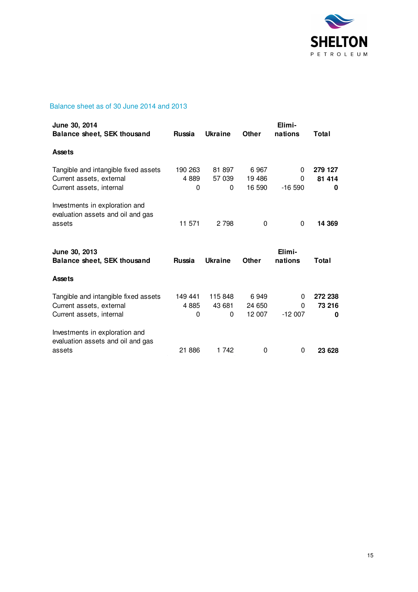

### Balance sheet as of 30 June 2014 and 2013

| June 30, 2014<br><b>Balance sheet, SEK thousand</b>                                          | <b>Russia</b>        | <b>Ukraine</b>         | Other                    | Elimi-<br>nations  | Total                  |
|----------------------------------------------------------------------------------------------|----------------------|------------------------|--------------------------|--------------------|------------------------|
| <b>Assets</b>                                                                                |                      |                        |                          |                    |                        |
| Tangible and intangible fixed assets<br>Current assets, external<br>Current assets, internal | 190 263<br>4889<br>0 | 81 897<br>57 039<br>0  | 6967<br>19 486<br>16 590 | 0<br>0<br>$-16590$ | 279 127<br>81 414<br>0 |
| Investments in exploration and<br>evaluation assets and oil and gas<br>assets                | 11 571               | 2 7 9 8                | $\Omega$                 | $\Omega$           | 14 369                 |
| June 30, 2013                                                                                |                      |                        |                          | Elimi-             |                        |
| <b>Balance sheet, SEK thousand</b>                                                           | Russia               | <b>Ukraine</b>         | Other                    | nations            | Total                  |
| <b>Assets</b>                                                                                |                      |                        |                          |                    |                        |
| Tangible and intangible fixed assets<br>Current assets, external<br>Current assets, internal | 149 441<br>4885<br>0 | 115 848<br>43 681<br>0 | 6949<br>24 650<br>12 007 | 0<br>0<br>$-12007$ | 272 238<br>73 216<br>0 |